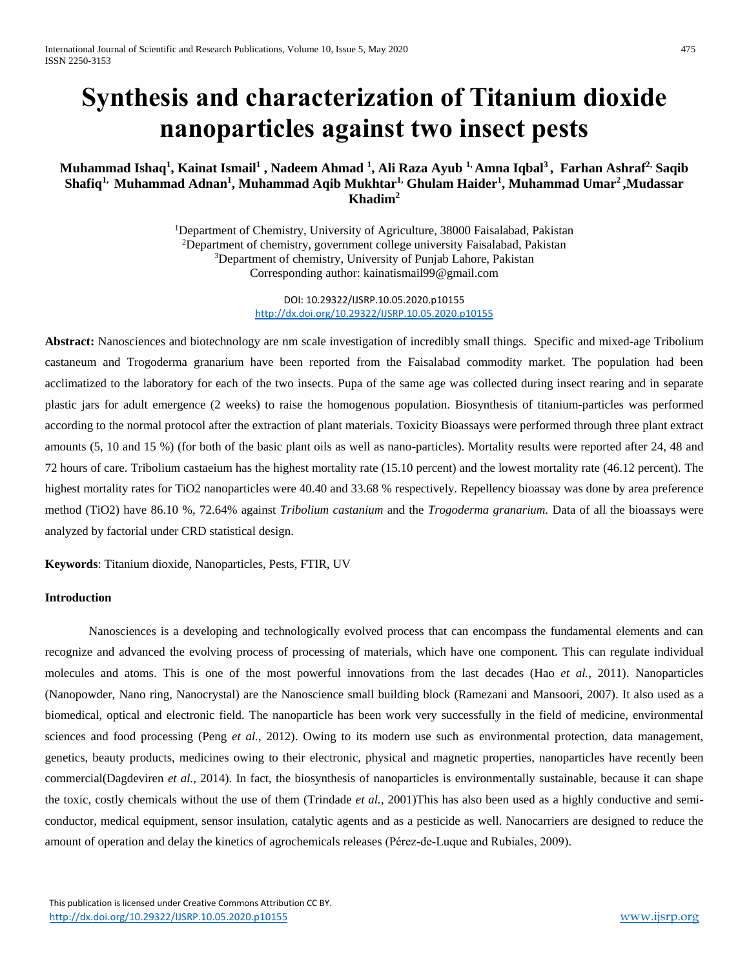# **Synthesis and characterization of Titanium dioxide nanoparticles against two insect pests**

# **Muhammad Ishaq<sup>1</sup> , Kainat Ismail<sup>1</sup> , Nadeem Ahmad <sup>1</sup> , Ali Raza Ayub 1, Amna Iqbal<sup>3</sup> , Farhan Ashraf2, Saqib Shafiq1, Muhammad Adnan<sup>1</sup> , Muhammad Aqib Mukhtar1, Ghulam Haider<sup>1</sup> , Muhammad Umar<sup>2</sup> ,Mudassar Khadim<sup>2</sup>**

<sup>1</sup>Department of Chemistry, University of Agriculture, 38000 Faisalabad, Pakistan <sup>2</sup>Department of chemistry, government college university Faisalabad, Pakistan <sup>3</sup>Department of chemistry, University of Punjab Lahore, Pakistan Corresponding author: kainatismail99@gmail.com

> DOI: 10.29322/IJSRP.10.05.2020.p10155 <http://dx.doi.org/10.29322/IJSRP.10.05.2020.p10155>

**Abstract:** Nanosciences and biotechnology are nm scale investigation of incredibly small things. Specific and mixed-age Tribolium castaneum and Trogoderma granarium have been reported from the Faisalabad commodity market. The population had been acclimatized to the laboratory for each of the two insects. Pupa of the same age was collected during insect rearing and in separate plastic jars for adult emergence (2 weeks) to raise the homogenous population. Biosynthesis of titanium-particles was performed according to the normal protocol after the extraction of plant materials. Toxicity Bioassays were performed through three plant extract amounts (5, 10 and 15 %) (for both of the basic plant oils as well as nano-particles). Mortality results were reported after 24, 48 and 72 hours of care. Tribolium castaeium has the highest mortality rate (15.10 percent) and the lowest mortality rate (46.12 percent). The highest mortality rates for TiO2 nanoparticles were 40.40 and 33.68 % respectively. Repellency bioassay was done by area preference method (TiO2) have 86.10 %, 72.64% against *Tribolium castanium* and the *Trogoderma granarium.* Data of all the bioassays were analyzed by factorial under CRD statistical design.

**Keywords**: Titanium dioxide, Nanoparticles, Pests, FTIR, UV

# **Introduction**

Nanosciences is a developing and technologically evolved process that can encompass the fundamental elements and can recognize and advanced the evolving process of processing of materials, which have one component. This can regulate individual molecules and atoms. This is one of the most powerful innovations from the last decades (Hao *et al.*, 2011). Nanoparticles (Nanopowder, Nano ring, Nanocrystal) are the Nanoscience small building block (Ramezani and Mansoori, 2007). It also used as a biomedical, optical and electronic field. The nanoparticle has been work very successfully in the field of medicine, environmental sciences and food processing (Peng *et al.*, 2012). Owing to its modern use such as environmental protection, data management, genetics, beauty products, medicines owing to their electronic, physical and magnetic properties, nanoparticles have recently been commercial(Dagdeviren *et al.*, 2014). In fact, the biosynthesis of nanoparticles is environmentally sustainable, because it can shape the toxic, costly chemicals without the use of them (Trindade *et al.*, 2001)This has also been used as a highly conductive and semiconductor, medical equipment, sensor insulation, catalytic agents and as a pesticide as well. Nanocarriers are designed to reduce the amount of operation and delay the kinetics of agrochemicals releases (Pérez-de-Luque and Rubiales, 2009).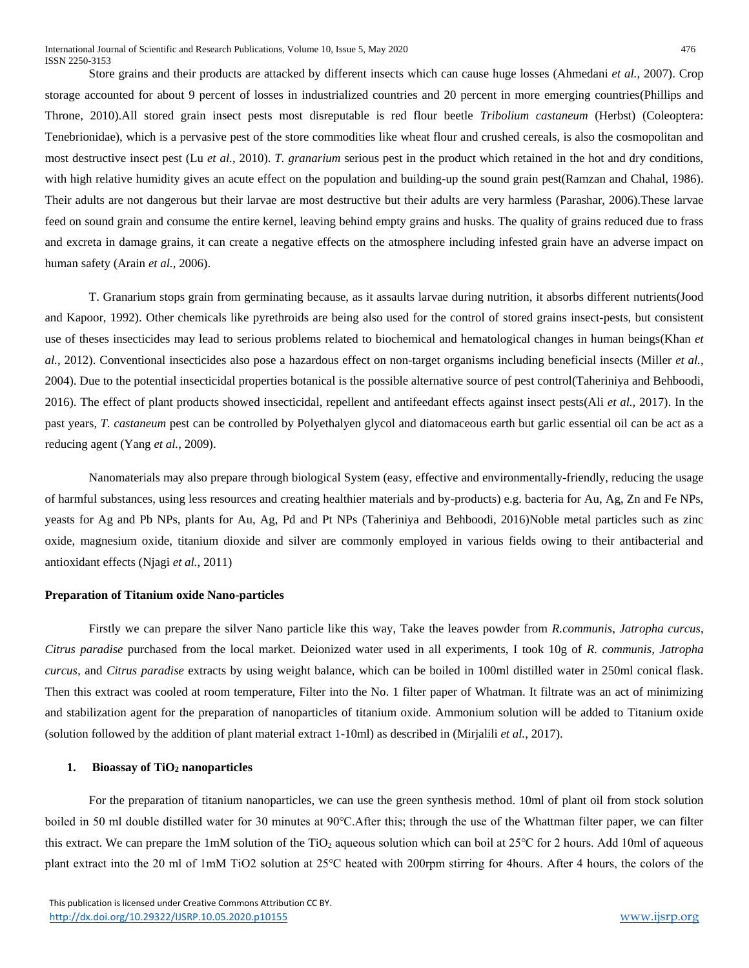Store grains and their products are attacked by different insects which can cause huge losses (Ahmedani *et al.*, 2007). Crop storage accounted for about 9 percent of losses in industrialized countries and 20 percent in more emerging countries(Phillips and Throne, 2010).All stored grain insect pests most disreputable is red flour beetle *Tribolium castaneum* (Herbst) (Coleoptera: Tenebrionidae), which is a pervasive pest of the store commodities like wheat flour and crushed cereals, is also the cosmopolitan and most destructive insect pest (Lu *et al.*, 2010). *T. granarium* serious pest in the product which retained in the hot and dry conditions, with high relative humidity gives an acute effect on the population and building-up the sound grain pest(Ramzan and Chahal, 1986). Their adults are not dangerous but their larvae are most destructive but their adults are very harmless (Parashar, 2006).These larvae feed on sound grain and consume the entire kernel, leaving behind empty grains and husks. The quality of grains reduced due to frass and excreta in damage grains, it can create a negative effects on the atmosphere including infested grain have an adverse impact on human safety (Arain *et al.*, 2006).

T. Granarium stops grain from germinating because, as it assaults larvae during nutrition, it absorbs different nutrients(Jood and Kapoor, 1992). Other chemicals like pyrethroids are being also used for the control of stored grains insect-pests, but consistent use of theses insecticides may lead to serious problems related to biochemical and hematological changes in human beings(Khan *et al.*, 2012). Conventional insecticides also pose a hazardous effect on non-target organisms including beneficial insects (Miller *et al.*, 2004). Due to the potential insecticidal properties botanical is the possible alternative source of pest control(Taheriniya and Behboodi, 2016). The effect of plant products showed insecticidal, repellent and antifeedant effects against insect pests(Ali *et al.*, 2017). In the past years, *T. castaneum* pest can be controlled by Polyethalyen glycol and diatomaceous earth but garlic essential oil can be act as a reducing agent (Yang *et al.*, 2009).

Nanomaterials may also prepare through biological System (easy, effective and environmentally-friendly, reducing the usage of harmful substances, using less resources and creating healthier materials and by-products) e.g. bacteria for Au, Ag, Zn and Fe NPs, yeasts for Ag and Pb NPs, plants for Au, Ag, Pd and Pt NPs (Taheriniya and Behboodi, 2016)Noble metal particles such as zinc oxide, magnesium oxide, titanium dioxide and silver are commonly employed in various fields owing to their antibacterial and antioxidant effects (Njagi *et al.*, 2011)

#### **Preparation of Titanium oxide Nano-particles**

Firstly we can prepare the silver Nano particle like this way, Take the leaves powder from *R.communis*, *Jatropha curcus*, *Citrus paradise* purchased from the local market. Deionized water used in all experiments, I took 10g of *R. communis, Jatropha curcus,* and *Citrus paradise* extracts by using weight balance, which can be boiled in 100ml distilled water in 250ml conical flask. Then this extract was cooled at room temperature, Filter into the No. 1 filter paper of Whatman. It filtrate was an act of minimizing and stabilization agent for the preparation of nanoparticles of titanium oxide. Ammonium solution will be added to Titanium oxide (solution followed by the addition of plant material extract 1-10ml) as described in (Mirjalili *et al.*, 2017).

#### **1. Bioassay of TiO<sup>2</sup> nanoparticles**

For the preparation of titanium nanoparticles, we can use the green synthesis method. 10ml of plant oil from stock solution boiled in 50 ml double distilled water for 30 minutes at 90℃.After this; through the use of the Whattman filter paper, we can filter this extract. We can prepare the 1mM solution of the TiO<sub>2</sub> aqueous solution which can boil at 25<sup>o</sup>C for 2 hours. Add 10ml of aqueous plant extract into the 20 ml of 1mM TiO2 solution at 25℃ heated with 200rpm stirring for 4hours. After 4 hours, the colors of the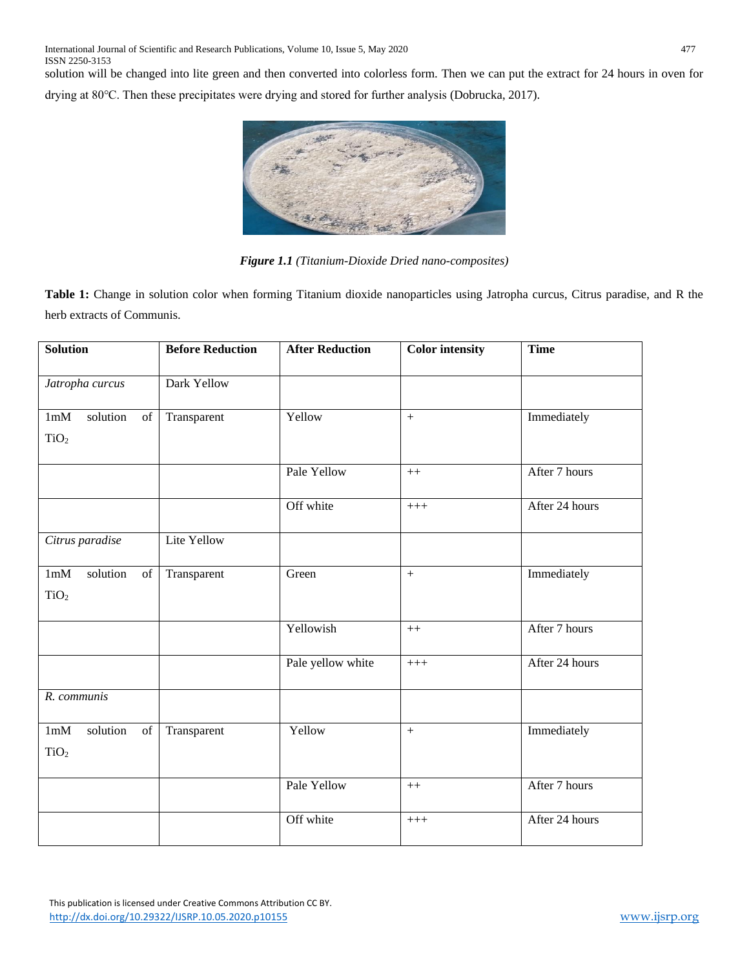solution will be changed into lite green and then converted into colorless form. Then we can put the extract for 24 hours in oven for drying at 80℃. Then these precipitates were drying and stored for further analysis (Dobrucka, 2017).



*Figure 1.1 (Titanium-Dioxide Dried nano-composites)*

**Table 1:** Change in solution color when forming Titanium dioxide nanoparticles using Jatropha curcus, Citrus paradise, and R the herb extracts of Communis.

| <b>Solution</b>                           | <b>Before Reduction</b> | <b>After Reduction</b> | <b>Color</b> intensity | <b>Time</b>    |
|-------------------------------------------|-------------------------|------------------------|------------------------|----------------|
| Jatropha curcus                           | Dark Yellow             |                        |                        |                |
|                                           |                         |                        |                        |                |
| 1mM<br>solution<br>of                     | Transparent             | Yellow                 | $^{+}$                 | Immediately    |
| TiO <sub>2</sub>                          |                         |                        |                        |                |
|                                           |                         | Pale Yellow            | $++$                   | After 7 hours  |
|                                           |                         | Off white              | $+++$                  | After 24 hours |
| Citrus paradise                           | Lite Yellow             |                        |                        |                |
| solution<br>1mM<br>$\overline{\text{of}}$ | Transparent             | Green                  | $\ddot{+}$             | Immediately    |
| TiO <sub>2</sub>                          |                         |                        |                        |                |
|                                           |                         | Yellowish              | $++$                   | After 7 hours  |
|                                           |                         | Pale yellow white      | $+++$                  | After 24 hours |
| R. communis                               |                         |                        |                        |                |
| solution<br>1mM<br>of                     | Transparent             | Yellow                 | $+$                    | Immediately    |
| TiO <sub>2</sub>                          |                         |                        |                        |                |
|                                           |                         | Pale Yellow            | $\boldsymbol{++}$      | After 7 hours  |
|                                           |                         | Off white              | $^{+++}$               | After 24 hours |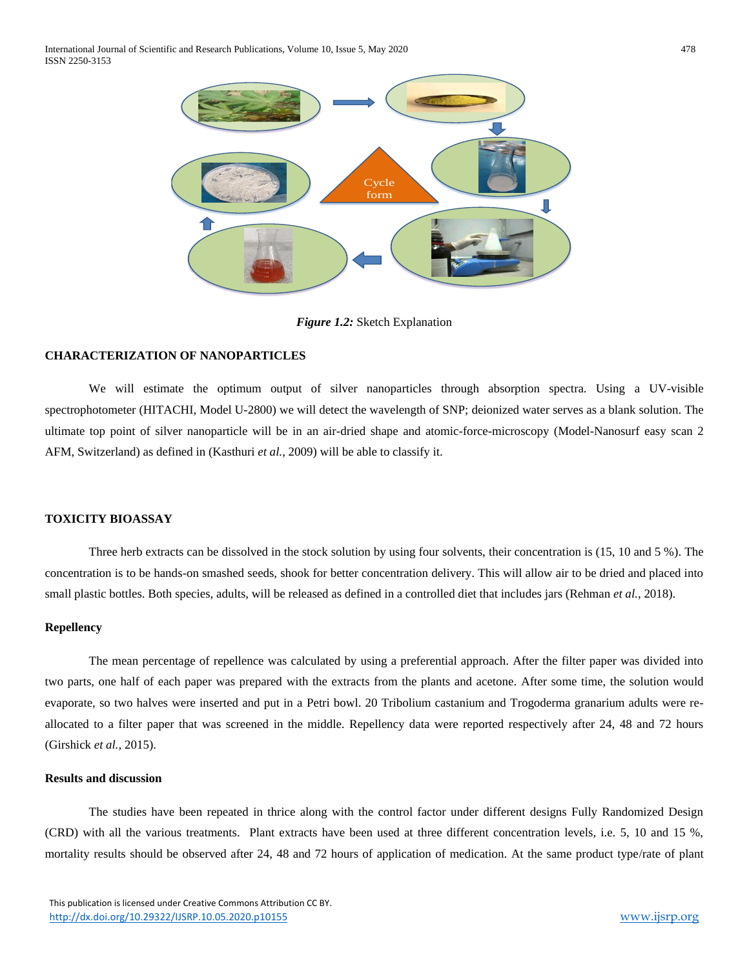International Journal of Scientific and Research Publications, Volume 10, Issue 5, May 2020 478 ISSN 2250-3153



*Figure 1.2:* Sketch Explanation

## **CHARACTERIZATION OF NANOPARTICLES**

We will estimate the optimum output of silver nanoparticles through absorption spectra. Using a UV-visible spectrophotometer (HITACHI, Model U-2800) we will detect the wavelength of SNP; deionized water serves as a blank solution. The ultimate top point of silver nanoparticle will be in an air-dried shape and atomic-force-microscopy (Model-Nanosurf easy scan 2 AFM, Switzerland) as defined in (Kasthuri *et al.*, 2009) will be able to classify it.

## **TOXICITY BIOASSAY**

Three herb extracts can be dissolved in the stock solution by using four solvents, their concentration is (15, 10 and 5 %). The concentration is to be hands-on smashed seeds, shook for better concentration delivery. This will allow air to be dried and placed into small plastic bottles. Both species, adults, will be released as defined in a controlled diet that includes jars (Rehman *et al.*, 2018).

#### **Repellency**

The mean percentage of repellence was calculated by using a preferential approach. After the filter paper was divided into two parts, one half of each paper was prepared with the extracts from the plants and acetone. After some time, the solution would evaporate, so two halves were inserted and put in a Petri bowl. 20 Tribolium castanium and Trogoderma granarium adults were reallocated to a filter paper that was screened in the middle. Repellency data were reported respectively after 24, 48 and 72 hours (Girshick *et al.*, 2015).

#### **Results and discussion**

The studies have been repeated in thrice along with the control factor under different designs Fully Randomized Design (CRD) with all the various treatments. Plant extracts have been used at three different concentration levels, i.e. 5, 10 and 15 %, mortality results should be observed after 24, 48 and 72 hours of application of medication. At the same product type/rate of plant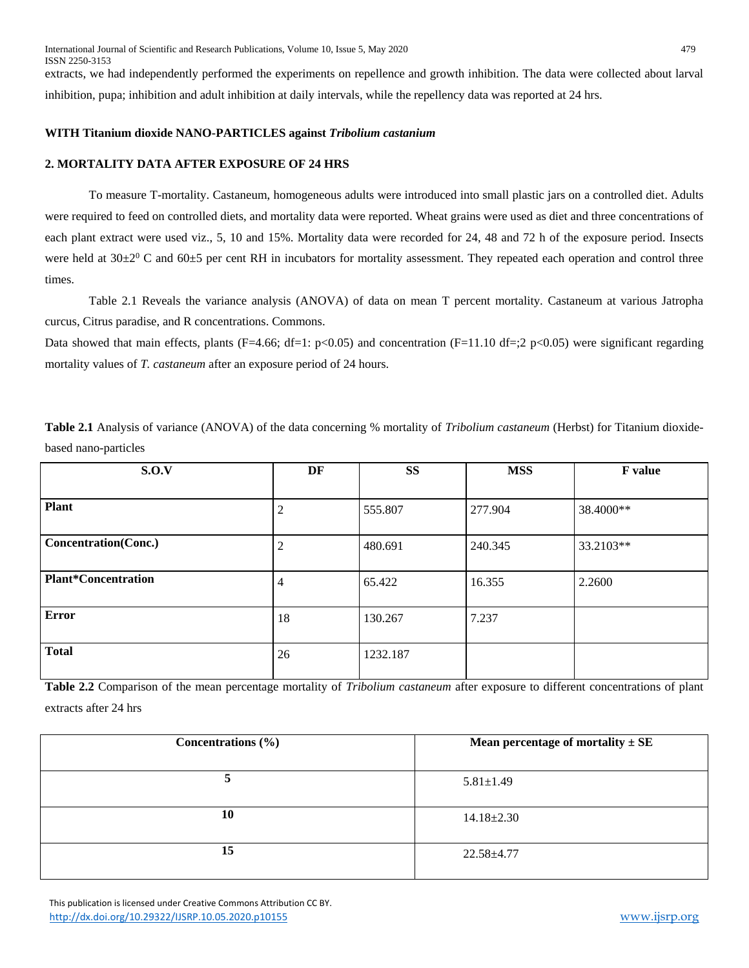International Journal of Scientific and Research Publications, Volume 10, Issue 5, May 2020 479 ISSN 2250-3153

extracts, we had independently performed the experiments on repellence and growth inhibition. The data were collected about larval inhibition, pupa; inhibition and adult inhibition at daily intervals, while the repellency data was reported at 24 hrs.

## **WITH Titanium dioxide NANO-PARTICLES against** *Tribolium castanium*

## **2. MORTALITY DATA AFTER EXPOSURE OF 24 HRS**

To measure T-mortality. Castaneum, homogeneous adults were introduced into small plastic jars on a controlled diet. Adults were required to feed on controlled diets, and mortality data were reported. Wheat grains were used as diet and three concentrations of each plant extract were used viz., 5, 10 and 15%. Mortality data were recorded for 24, 48 and 72 h of the exposure period. Insects were held at  $30\pm2^0$  C and  $60\pm5$  per cent RH in incubators for mortality assessment. They repeated each operation and control three times.

Table 2.1 Reveals the variance analysis (ANOVA) of data on mean T percent mortality. Castaneum at various Jatropha curcus, Citrus paradise, and R concentrations. Commons.

Data showed that main effects, plants (F=4.66; df=1:  $p<0.05$ ) and concentration (F=11.10 df=;2  $p<0.05$ ) were significant regarding mortality values of *T. castaneum* after an exposure period of 24 hours.

**Table 2.1** Analysis of variance (ANOVA) of the data concerning % mortality of *Tribolium castaneum* (Herbst) for Titanium dioxidebased nano-particles

| S.O.V                      | DF             | <b>SS</b> | <b>MSS</b> | F value   |
|----------------------------|----------------|-----------|------------|-----------|
|                            |                |           |            |           |
| <b>Plant</b>               | 2              | 555.807   | 277.904    | 38.4000** |
| Concentration(Conc.)       | $\overline{2}$ | 480.691   | 240.345    | 33.2103** |
| <b>Plant*Concentration</b> | $\overline{4}$ | 65.422    | 16.355     | 2.2600    |
| <b>Error</b>               | 18             | 130.267   | 7.237      |           |
| <b>Total</b>               | 26             | 1232.187  |            |           |

**Table 2.2** Comparison of the mean percentage mortality of *Tribolium castaneum* after exposure to different concentrations of plant extracts after 24 hrs

| Concentrations $(\% )$ | Mean percentage of mortality $\pm$ SE |
|------------------------|---------------------------------------|
|                        | $5.81 \pm 1.49$                       |
| 10                     | $14.18 \pm 2.30$                      |
| 15                     | $22.58 \pm 4.77$                      |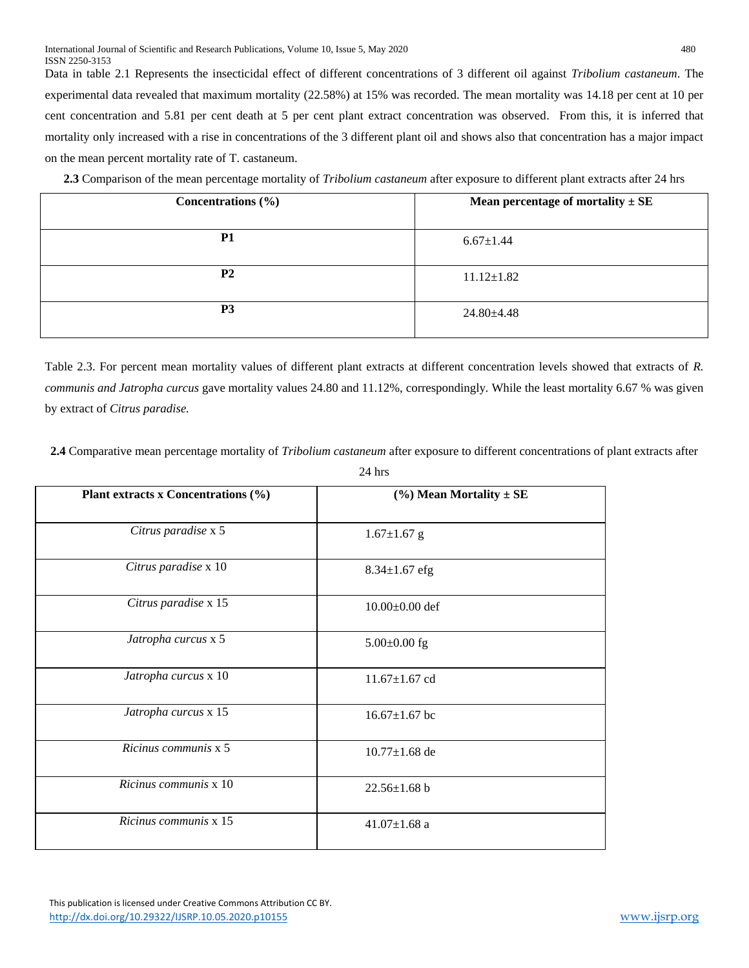Data in table 2.1 Represents the insecticidal effect of different concentrations of 3 different oil against *Tribolium castaneum*. The experimental data revealed that maximum mortality (22.58%) at 15% was recorded. The mean mortality was 14.18 per cent at 10 per cent concentration and 5.81 per cent death at 5 per cent plant extract concentration was observed. From this, it is inferred that mortality only increased with a rise in concentrations of the 3 different plant oil and shows also that concentration has a major impact on the mean percent mortality rate of T. castaneum.

**2.3** Comparison of the mean percentage mortality of *Tribolium castaneum* after exposure to different plant extracts after 24 hrs

| Concentrations $(\% )$ | Mean percentage of mortality $\pm$ SE |
|------------------------|---------------------------------------|
| <b>P1</b>              | $6.67 \pm 1.44$                       |
| <b>P2</b>              | $11.12 \pm 1.82$                      |
| P <sub>3</sub>         | $24.80 \pm 4.48$                      |

Table 2.3. For percent mean mortality values of different plant extracts at different concentration levels showed that extracts of *R. communis and Jatropha curcus* gave mortality values 24.80 and 11.12%, correspondingly*.* While the least mortality 6.67 % was given by extract of *Citrus paradise.* 

**2.4** Comparative mean percentage mortality of *Tribolium castaneum* after exposure to different concentrations of plant extracts after

| Plant extracts x Concentrations (%) | $(\%)$ Mean Mortality $\pm$ SE |
|-------------------------------------|--------------------------------|
| Citrus paradise x 5                 | $1.67 \pm 1.67$ g              |
| Citrus paradise x 10                | $8.34 \pm 1.67$ efg            |
| Citrus paradise x 15                | $10.00\pm0.00$ def             |
| Jatropha curcus x 5                 | $5.00\pm0.00$ fg               |
| Jatropha curcus x 10                | $11.67 \pm 1.67$ cd            |
| Jatropha curcus x 15                | $16.67 \pm 1.67$ bc            |
| Ricinus communis x 5                | $10.77 \pm 1.68$ de            |
| Ricinus communis x 10               | $22.56 \pm 1.68$ b             |
| Ricinus communis x 15               | $41.07 \pm 1.68$ a             |

24 hrs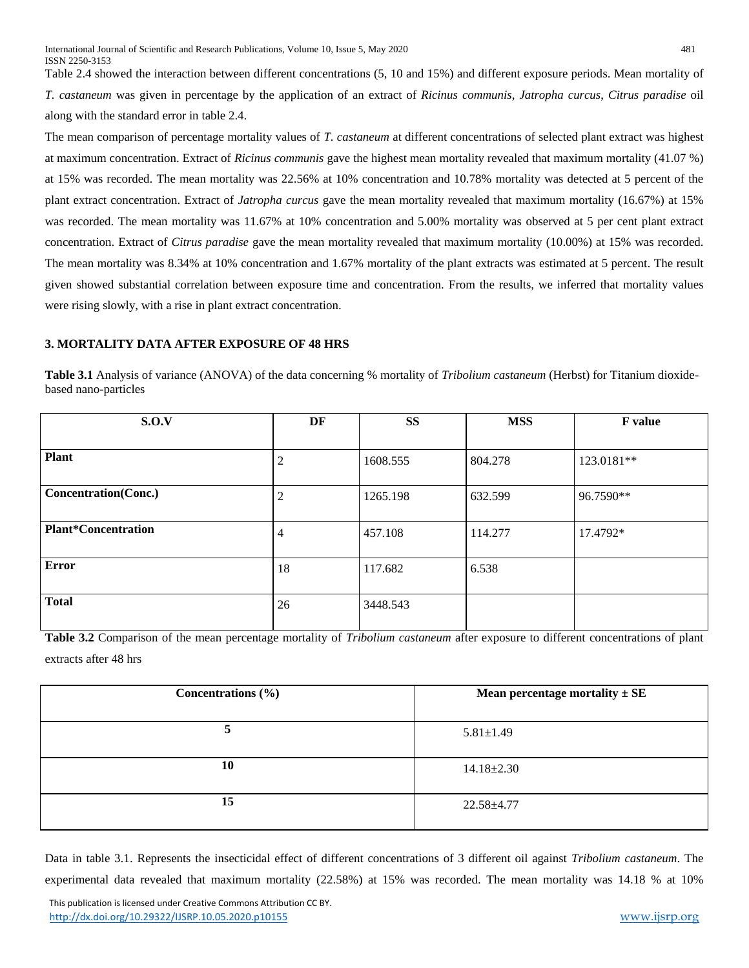Table 2.4 showed the interaction between different concentrations (5, 10 and 15%) and different exposure periods. Mean mortality of *T. castaneum* was given in percentage by the application of an extract of *Ricinus communis*, *Jatropha curcus*, *Citrus paradise* oil along with the standard error in table 2.4.

The mean comparison of percentage mortality values of *T. castaneum* at different concentrations of selected plant extract was highest at maximum concentration. Extract of *Ricinus communis* gave the highest mean mortality revealed that maximum mortality (41.07 %) at 15% was recorded. The mean mortality was 22.56% at 10% concentration and 10.78% mortality was detected at 5 percent of the plant extract concentration. Extract of *Jatropha curcus* gave the mean mortality revealed that maximum mortality (16.67%) at 15% was recorded. The mean mortality was 11.67% at 10% concentration and 5.00% mortality was observed at 5 per cent plant extract concentration. Extract of *Citrus paradise* gave the mean mortality revealed that maximum mortality (10.00%) at 15% was recorded. The mean mortality was 8.34% at 10% concentration and 1.67% mortality of the plant extracts was estimated at 5 percent. The result given showed substantial correlation between exposure time and concentration. From the results, we inferred that mortality values were rising slowly, with a rise in plant extract concentration.

## **3. MORTALITY DATA AFTER EXPOSURE OF 48 HRS**

**Table 3.1** Analysis of variance (ANOVA) of the data concerning % mortality of *Tribolium castaneum* (Herbst) for Titanium dioxidebased nano-particles

| S.O.V                       | DF             | <b>SS</b> | <b>MSS</b> | <b>F</b> value |
|-----------------------------|----------------|-----------|------------|----------------|
|                             |                |           |            |                |
| <b>Plant</b>                | 2              | 1608.555  | 804.278    | 123.0181**     |
| <b>Concentration(Conc.)</b> | 2              | 1265.198  | 632.599    | 96.7590**      |
| <b>Plant*Concentration</b>  | $\overline{4}$ | 457.108   | 114.277    | 17.4792*       |
| <b>Error</b>                | 18             | 117.682   | 6.538      |                |
| <b>Total</b>                | 26             | 3448.543  |            |                |

**Table 3.2** Comparison of the mean percentage mortality of *Tribolium castaneum* after exposure to different concentrations of plant extracts after 48 hrs

| Mean percentage mortality $\pm$ SE |
|------------------------------------|
| $5.81 \pm 1.49$                    |
| $14.18 \pm 2.30$                   |
| $22.58 + 4.77$                     |
|                                    |

Data in table 3.1. Represents the insecticidal effect of different concentrations of 3 different oil against *Tribolium castaneum*. The experimental data revealed that maximum mortality (22.58%) at 15% was recorded. The mean mortality was 14.18 % at 10%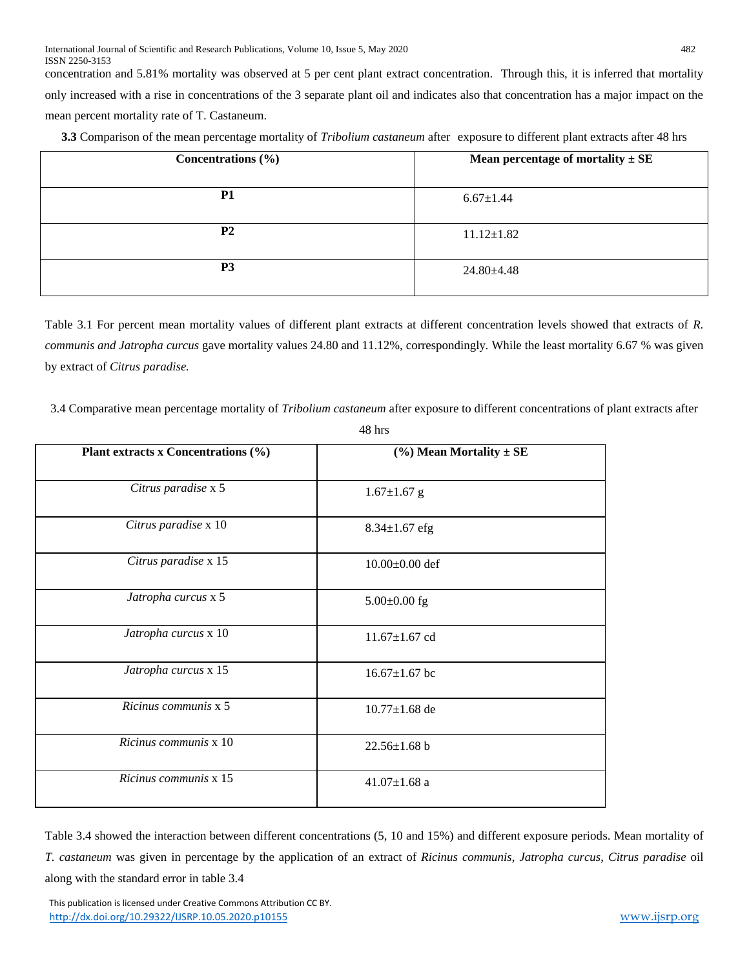concentration and 5.81% mortality was observed at 5 per cent plant extract concentration. Through this, it is inferred that mortality only increased with a rise in concentrations of the 3 separate plant oil and indicates also that concentration has a major impact on the mean percent mortality rate of T. Castaneum.

| Concentrations $(\% )$ | Mean percentage of mortality $\pm$ SE |
|------------------------|---------------------------------------|
| <b>P1</b>              | $6.67 \pm 1.44$                       |
| P <sub>2</sub>         | $11.12 \pm 1.82$                      |
| P <sub>3</sub>         | $24.80 \pm 4.48$                      |

Table 3.1 For percent mean mortality values of different plant extracts at different concentration levels showed that extracts of *R. communis and Jatropha curcus* gave mortality values 24.80 and 11.12%, correspondingly*.* While the least mortality 6.67 % was given by extract of *Citrus paradise.* 

3.4 Comparative mean percentage mortality of *Tribolium castaneum* after exposure to different concentrations of plant extracts after

| Plant extracts x Concentrations (%) | $(\%)$ Mean Mortality $\pm$ SE |
|-------------------------------------|--------------------------------|
| Citrus paradise x 5                 | $1.67 \pm 1.67$ g              |
| Citrus paradise x 10                | $8.34 \pm 1.67$ efg            |
| Citrus paradise x 15                | $10.00\pm0.00$ def             |
| Jatropha curcus x 5                 | $5.00\pm0.00$ fg               |
| Jatropha curcus x 10                | $11.67 \pm 1.67$ cd            |
| Jatropha curcus x 15                | $16.67 \pm 1.67$ bc            |
| Ricinus communis x 5                | $10.77 \pm 1.68$ de            |
| Ricinus communis x 10               | $22.56 \pm 1.68$ b             |
| Ricinus communis x 15               | $41.07 \pm 1.68$ a             |

48 hrs

Table 3.4 showed the interaction between different concentrations (5, 10 and 15%) and different exposure periods. Mean mortality of *T. castaneum* was given in percentage by the application of an extract of *Ricinus communis*, *Jatropha curcus*, *Citrus paradise* oil along with the standard error in table 3.4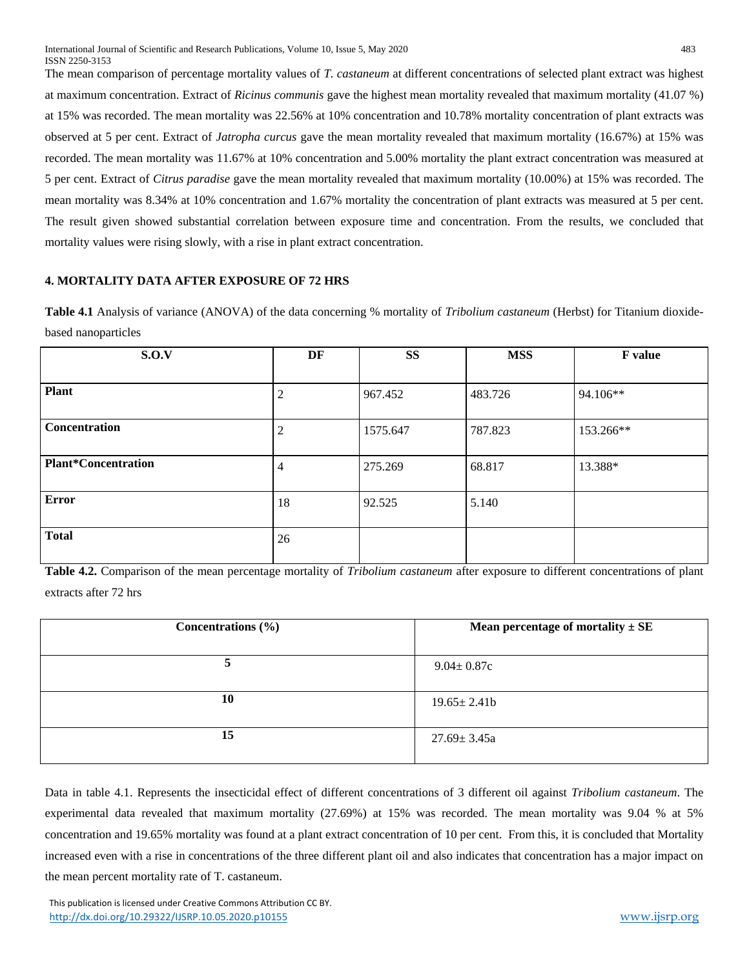The mean comparison of percentage mortality values of *T. castaneum* at different concentrations of selected plant extract was highest at maximum concentration. Extract of *Ricinus communis* gave the highest mean mortality revealed that maximum mortality (41.07 %) at 15% was recorded. The mean mortality was 22.56% at 10% concentration and 10.78% mortality concentration of plant extracts was observed at 5 per cent. Extract of *Jatropha curcus* gave the mean mortality revealed that maximum mortality (16.67%) at 15% was recorded. The mean mortality was 11.67% at 10% concentration and 5.00% mortality the plant extract concentration was measured at 5 per cent. Extract of *Citrus paradise* gave the mean mortality revealed that maximum mortality (10.00%) at 15% was recorded. The mean mortality was 8.34% at 10% concentration and 1.67% mortality the concentration of plant extracts was measured at 5 per cent. The result given showed substantial correlation between exposure time and concentration. From the results, we concluded that mortality values were rising slowly, with a rise in plant extract concentration.

## **4. MORTALITY DATA AFTER EXPOSURE OF 72 HRS**

**Table 4.1** Analysis of variance (ANOVA) of the data concerning % mortality of *Tribolium castaneum* (Herbst) for Titanium dioxidebased nanoparticles

| S.O.V                      | DF     | <b>SS</b> | <b>MSS</b> | F value   |
|----------------------------|--------|-----------|------------|-----------|
|                            |        |           |            |           |
| <b>Plant</b>               | ◠<br>∠ | 967.452   | 483.726    | 94.106**  |
|                            |        |           |            |           |
| Concentration              | C<br>∠ | 1575.647  | 787.823    | 153.266** |
| <b>Plant*Concentration</b> | 4      | 275.269   | 68.817     | 13.388*   |
| <b>Error</b>               | 18     | 92.525    | 5.140      |           |
| <b>Total</b>               | 26     |           |            |           |

**Table 4.2.** Comparison of the mean percentage mortality of *Tribolium castaneum* after exposure to different concentrations of plant extracts after 72 hrs

| Concentrations $(\% )$ | Mean percentage of mortality $\pm$ SE |
|------------------------|---------------------------------------|
|                        | $9.04 \pm 0.87c$                      |
| 10                     | $19.65 \pm 2.41b$                     |
| 15                     | $27.69 \pm 3.45a$                     |

Data in table 4.1. Represents the insecticidal effect of different concentrations of 3 different oil against *Tribolium castaneum*. The experimental data revealed that maximum mortality (27.69%) at 15% was recorded. The mean mortality was 9.04 % at 5% concentration and 19.65% mortality was found at a plant extract concentration of 10 per cent. From this, it is concluded that Mortality increased even with a rise in concentrations of the three different plant oil and also indicates that concentration has a major impact on the mean percent mortality rate of T. castaneum.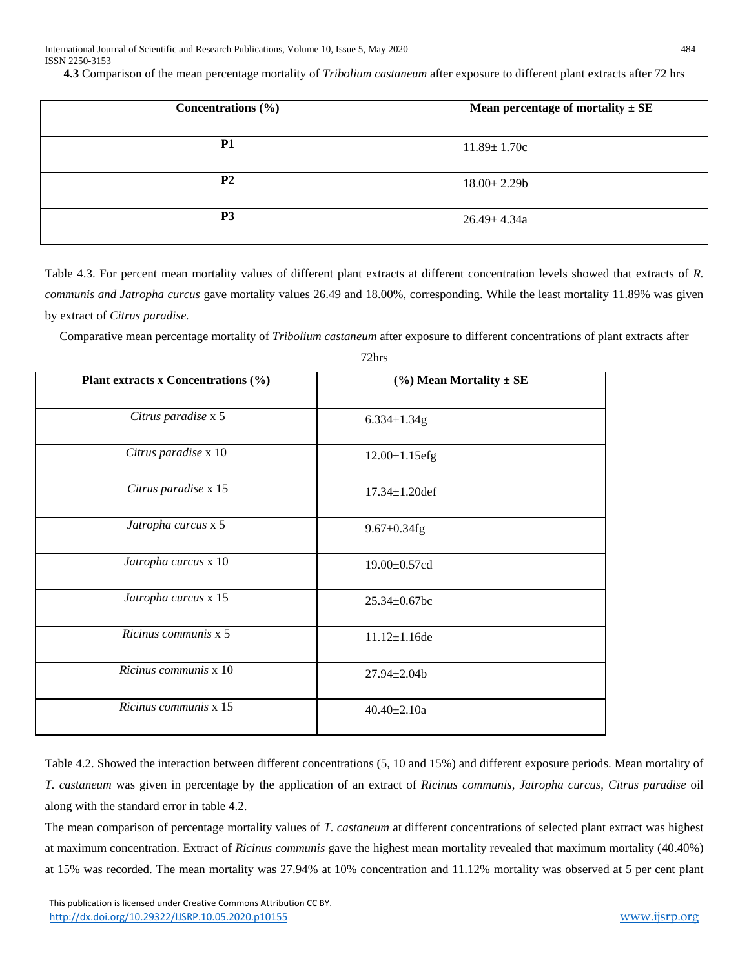**4.3** Comparison of the mean percentage mortality of *Tribolium castaneum* after exposure to different plant extracts after 72 hrs

| Concentrations $(\% )$ | Mean percentage of mortality $\pm$ SE |
|------------------------|---------------------------------------|
| <b>P1</b>              | $11.89 \pm 1.70c$                     |
| P <sub>2</sub>         | $18.00 \pm 2.29$ b                    |
| P <sub>3</sub>         | $26.49 \pm 4.34a$                     |

Table 4.3. For percent mean mortality values of different plant extracts at different concentration levels showed that extracts of *R. communis and Jatropha curcus* gave mortality values 26.49 and 18.00%, corresponding. While the least mortality 11.89% was given by extract of *Citrus paradise.* 

Comparative mean percentage mortality of *Tribolium castaneum* after exposure to different concentrations of plant extracts after

| Plant extracts x Concentrations (%) | $(\%)$ Mean Mortality $\pm$ SE |
|-------------------------------------|--------------------------------|
| Citrus paradise x 5                 | $6.334 \pm 1.34g$              |
| Citrus paradise x 10                | $12.00 \pm 1.15$ efg           |
| Citrus paradise x 15                | $17.34 \pm 1.20$ def           |
| Jatropha curcus x 5                 | $9.67 \pm 0.34$ fg             |
| Jatropha curcus x 10                | 19.00±0.57cd                   |
| Jatropha curcus x 15                | $25.34 \pm 0.67$ bc            |
| Ricinus communis x 5                | $11.12 \pm 1.16$ de            |
| Ricinus communis x 10               | $27.94 \pm 2.04$               |
| Ricinus communis x 15               | $40.40 + 2.10a$                |

72hrs

Table 4.2. Showed the interaction between different concentrations (5, 10 and 15%) and different exposure periods. Mean mortality of *T. castaneum* was given in percentage by the application of an extract of *Ricinus communis*, *Jatropha curcus*, *Citrus paradise* oil along with the standard error in table 4.2.

The mean comparison of percentage mortality values of *T. castaneum* at different concentrations of selected plant extract was highest at maximum concentration. Extract of *Ricinus communis* gave the highest mean mortality revealed that maximum mortality (40.40%) at 15% was recorded. The mean mortality was 27.94% at 10% concentration and 11.12% mortality was observed at 5 per cent plant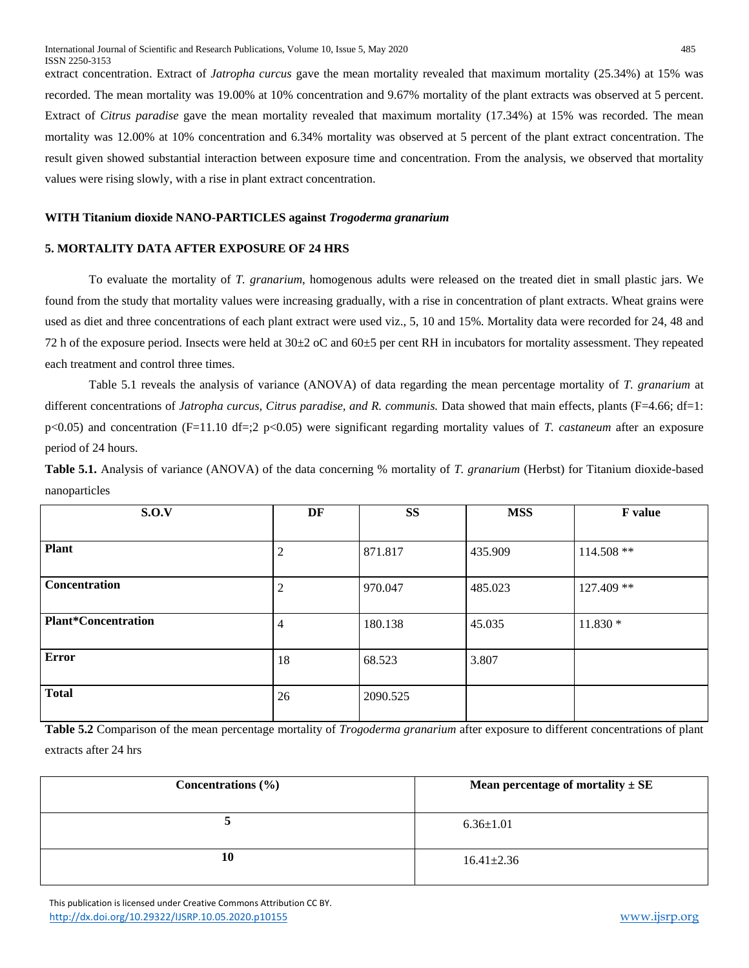extract concentration. Extract of *Jatropha curcus* gave the mean mortality revealed that maximum mortality (25.34%) at 15% was recorded. The mean mortality was 19.00% at 10% concentration and 9.67% mortality of the plant extracts was observed at 5 percent. Extract of *Citrus paradise* gave the mean mortality revealed that maximum mortality (17.34%) at 15% was recorded. The mean mortality was 12.00% at 10% concentration and 6.34% mortality was observed at 5 percent of the plant extract concentration. The result given showed substantial interaction between exposure time and concentration. From the analysis, we observed that mortality values were rising slowly, with a rise in plant extract concentration.

## **WITH Titanium dioxide NANO-PARTICLES against** *Trogoderma granarium*

## **5. MORTALITY DATA AFTER EXPOSURE OF 24 HRS**

To evaluate the mortality of *T. granarium*, homogenous adults were released on the treated diet in small plastic jars. We found from the study that mortality values were increasing gradually, with a rise in concentration of plant extracts. Wheat grains were used as diet and three concentrations of each plant extract were used viz., 5, 10 and 15%. Mortality data were recorded for 24, 48 and 72 h of the exposure period. Insects were held at  $30\pm2$  oC and  $60\pm5$  per cent RH in incubators for mortality assessment. They repeated each treatment and control three times.

Table 5.1 reveals the analysis of variance (ANOVA) of data regarding the mean percentage mortality of *T. granarium* at different concentrations of *Jatropha curcus, Citrus paradise, and R. communis.* Data showed that main effects, plants (F=4.66; df=1: p<0.05) and concentration (F=11.10 df=;2 p<0.05) were significant regarding mortality values of *T. castaneum* after an exposure period of 24 hours.

**Table 5.1.** Analysis of variance (ANOVA) of the data concerning % mortality of *T. granarium* (Herbst) for Titanium dioxide-based nanoparticles

| S.O.V                      | DF     | <b>SS</b> | <b>MSS</b> | F value     |
|----------------------------|--------|-----------|------------|-------------|
|                            |        |           |            |             |
| <b>Plant</b>               | っ<br>∠ | 871.817   | 435.909    | $114.508**$ |
|                            |        |           |            |             |
| Concentration              | ◠<br>∠ | 970.047   | 485.023    | 127.409 **  |
|                            |        |           |            |             |
| <b>Plant*Concentration</b> | 4      | 180.138   | 45.035     | $11.830*$   |
| <b>Error</b>               | 18     | 68.523    | 3.807      |             |
| <b>Total</b>               | 26     | 2090.525  |            |             |

**Table 5.2** Comparison of the mean percentage mortality of *Trogoderma granarium* after exposure to different concentrations of plant extracts after 24 hrs

| Concentrations $(\% )$ | Mean percentage of mortality $\pm$ SE |
|------------------------|---------------------------------------|
|                        | $6.36 \pm 1.01$                       |
| 10                     | $16.41 \pm 2.36$                      |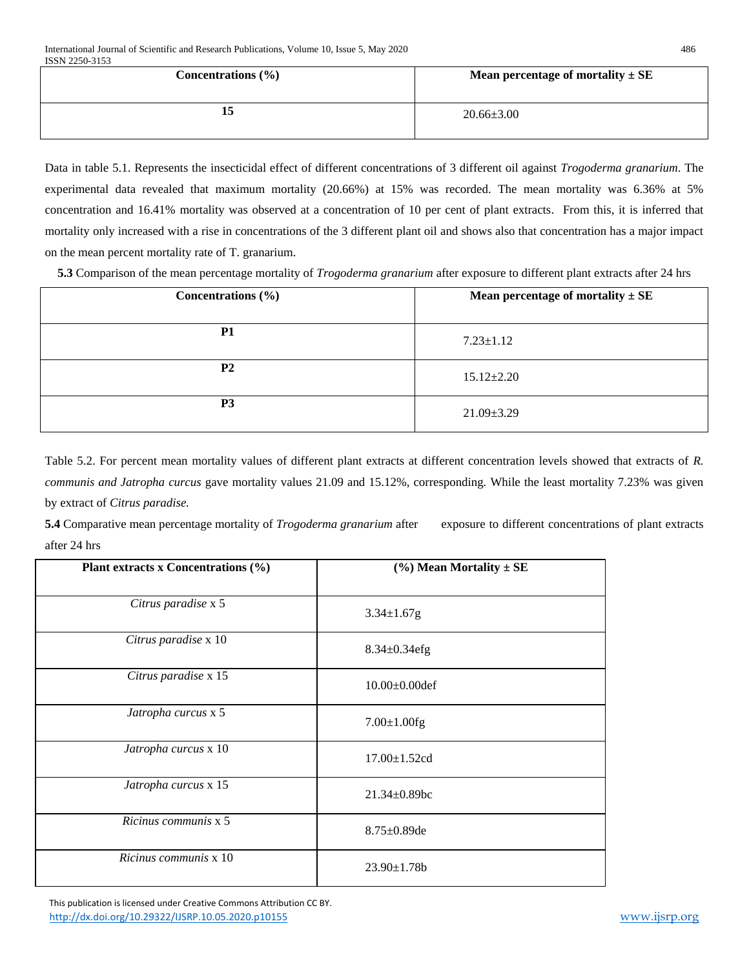| ISSN 2250-3153         |                                       |
|------------------------|---------------------------------------|
| Concentrations $(\% )$ | Mean percentage of mortality $\pm$ SE |
|                        |                                       |
|                        | $20.66 \pm 3.00$                      |
|                        |                                       |

Data in table 5.1. Represents the insecticidal effect of different concentrations of 3 different oil against *Trogoderma granarium*. The experimental data revealed that maximum mortality (20.66%) at 15% was recorded. The mean mortality was 6.36% at 5% concentration and 16.41% mortality was observed at a concentration of 10 per cent of plant extracts. From this, it is inferred that mortality only increased with a rise in concentrations of the 3 different plant oil and shows also that concentration has a major impact on the mean percent mortality rate of T. granarium.

**5.3** Comparison of the mean percentage mortality of *Trogoderma granarium* after exposure to different plant extracts after 24 hrs

| Concentrations $(\% )$ | Mean percentage of mortality $\pm$ SE |
|------------------------|---------------------------------------|
| P1                     | $7.23 \pm 1.12$                       |
| <b>P2</b>              | $15.12 \pm 2.20$                      |
| P <sub>3</sub>         | $21.09 \pm 3.29$                      |

Table 5.2. For percent mean mortality values of different plant extracts at different concentration levels showed that extracts of *R. communis and Jatropha curcus* gave mortality values 21.09 and 15.12%, corresponding*.* While the least mortality 7.23% was given by extract of *Citrus paradise.* 

**5.4** Comparative mean percentage mortality of *Trogoderma granarium* after exposure to different concentrations of plant extracts after 24 hrs

| Plant extracts x Concentrations (%) | $(\%)$ Mean Mortality $\pm$ SE |
|-------------------------------------|--------------------------------|
| Citrus paradise x 5                 | $3.34 \pm 1.67$ g              |
| Citrus paradise x 10                | $8.34 \pm 0.34$ efg            |
| Citrus paradise x 15                | $10.00 \pm 0.00$ def           |
| Jatropha curcus x 5                 | $7.00 \pm 1.00$ fg             |
| Jatropha curcus x 10                | $17.00 \pm 1.52$ cd            |
| Jatropha curcus x 15                | $21.34 \pm 0.89$ bc            |
| $Ricinus communis \times 5$         | $8.75 \pm 0.89$ de             |
| Ricinus communis x 10               | $23.90 \pm 1.78$               |

 This publication is licensed under Creative Commons Attribution CC BY. <http://dx.doi.org/10.29322/IJSRP.10.05.2020.p10155> [www.ijsrp.org](http://ijsrp.org/)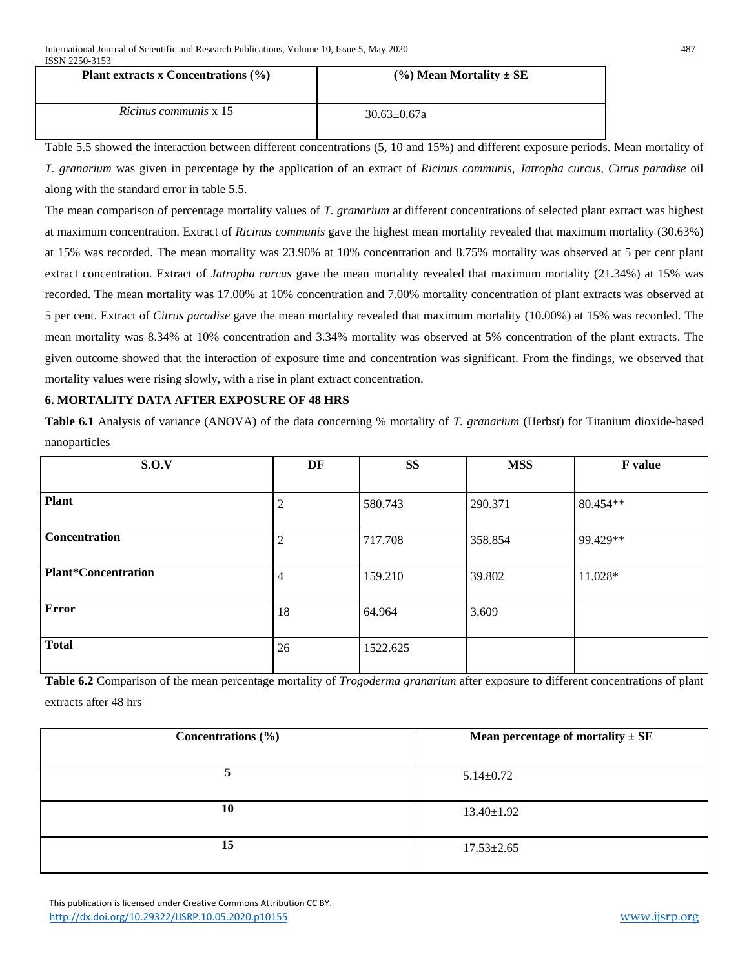| Plant extracts x Concentrations $(\% )$ | $(\%)$ Mean Mortality $\pm$ SE |
|-----------------------------------------|--------------------------------|
| <i>Ricinus communis</i> x 15            | $30.63 \pm 0.67a$              |

Table 5.5 showed the interaction between different concentrations (5, 10 and 15%) and different exposure periods. Mean mortality of *T. granarium* was given in percentage by the application of an extract of *Ricinus communis*, *Jatropha curcus*, *Citrus paradise* oil along with the standard error in table 5.5.

The mean comparison of percentage mortality values of *T. granarium* at different concentrations of selected plant extract was highest at maximum concentration. Extract of *Ricinus communis* gave the highest mean mortality revealed that maximum mortality (30.63%) at 15% was recorded. The mean mortality was 23.90% at 10% concentration and 8.75% mortality was observed at 5 per cent plant extract concentration. Extract of *Jatropha curcus* gave the mean mortality revealed that maximum mortality (21.34%) at 15% was recorded. The mean mortality was 17.00% at 10% concentration and 7.00% mortality concentration of plant extracts was observed at 5 per cent. Extract of *Citrus paradise* gave the mean mortality revealed that maximum mortality (10.00%) at 15% was recorded. The mean mortality was 8.34% at 10% concentration and 3.34% mortality was observed at 5% concentration of the plant extracts. The given outcome showed that the interaction of exposure time and concentration was significant. From the findings, we observed that mortality values were rising slowly, with a rise in plant extract concentration.

# **6. MORTALITY DATA AFTER EXPOSURE OF 48 HRS**

**Table 6.1** Analysis of variance (ANOVA) of the data concerning % mortality of *T. granarium* (Herbst) for Titanium dioxide-based nanoparticles

| S.O.V                      | DF             | <b>SS</b> | <b>MSS</b> | F value  |
|----------------------------|----------------|-----------|------------|----------|
| <b>Plant</b>               | $\overline{c}$ | 580.743   | 290.371    | 80.454** |
| Concentration              | $\overline{2}$ | 717.708   | 358.854    | 99.429** |
| <b>Plant*Concentration</b> | 4              | 159.210   | 39.802     | 11.028*  |
| <b>Error</b>               | 18             | 64.964    | 3.609      |          |
| <b>Total</b>               | 26             | 1522.625  |            |          |

**Table 6.2** Comparison of the mean percentage mortality of *Trogoderma granarium* after exposure to different concentrations of plant extracts after 48 hrs

| Concentrations $(\% )$ | Mean percentage of mortality $\pm$ SE |
|------------------------|---------------------------------------|
| ⊃                      | $5.14 \pm 0.72$                       |
| 10                     | $13.40 \pm 1.92$                      |
| 15                     | $17.53 \pm 2.65$                      |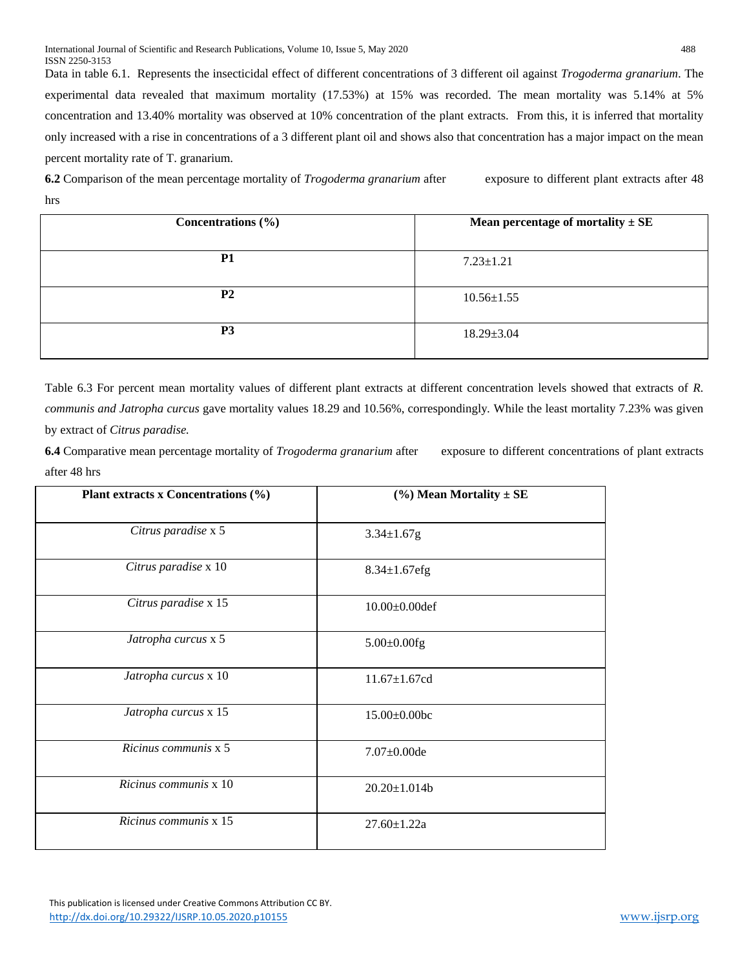Data in table 6.1. Represents the insecticidal effect of different concentrations of 3 different oil against *Trogoderma granarium*. The experimental data revealed that maximum mortality (17.53%) at 15% was recorded. The mean mortality was 5.14% at 5% concentration and 13.40% mortality was observed at 10% concentration of the plant extracts. From this, it is inferred that mortality only increased with a rise in concentrations of a 3 different plant oil and shows also that concentration has a major impact on the mean percent mortality rate of T. granarium.

**6.2** Comparison of the mean percentage mortality of *Trogoderma granarium* after exposure to different plant extracts after 48 hrs

| Concentrations $(\% )$ | Mean percentage of mortality $\pm$ SE |
|------------------------|---------------------------------------|
| <b>P1</b>              | $7.23 \pm 1.21$                       |
| <b>P2</b>              | $10.56 \pm 1.55$                      |
| P <sub>3</sub>         | $18.29 \pm 3.04$                      |

Table 6.3 For percent mean mortality values of different plant extracts at different concentration levels showed that extracts of *R. communis and Jatropha curcus* gave mortality values 18.29 and 10.56%, correspondingly*.* While the least mortality 7.23% was given by extract of *Citrus paradise.* 

**6.4** Comparative mean percentage mortality of *Trogoderma granarium* after exposure to different concentrations of plant extracts after 48 hrs

| Plant extracts x Concentrations (%) | $(\%)$ Mean Mortality $\pm$ SE |
|-------------------------------------|--------------------------------|
| Citrus paradise x 5                 | $3.34 \pm 1.67$ g              |
| Citrus paradise x 10                | $8.34 \pm 1.67$ efg            |
| Citrus paradise x 15                | $10.00 \pm 0.00$ def           |
| Jatropha curcus x 5                 | $5.00 \pm 0.00$ fg             |
| Jatropha curcus x 10                | $11.67 \pm 1.67$ cd            |
| Jatropha curcus x 15                | $15.00 \pm 0.00$ bc            |
| Ricinus communis x 5                | $7.07 \pm 0.00$ de             |
| Ricinus communis x 10               | $20.20 \pm 1.014b$             |
| Ricinus communis x 15               | $27.60 \pm 1.22a$              |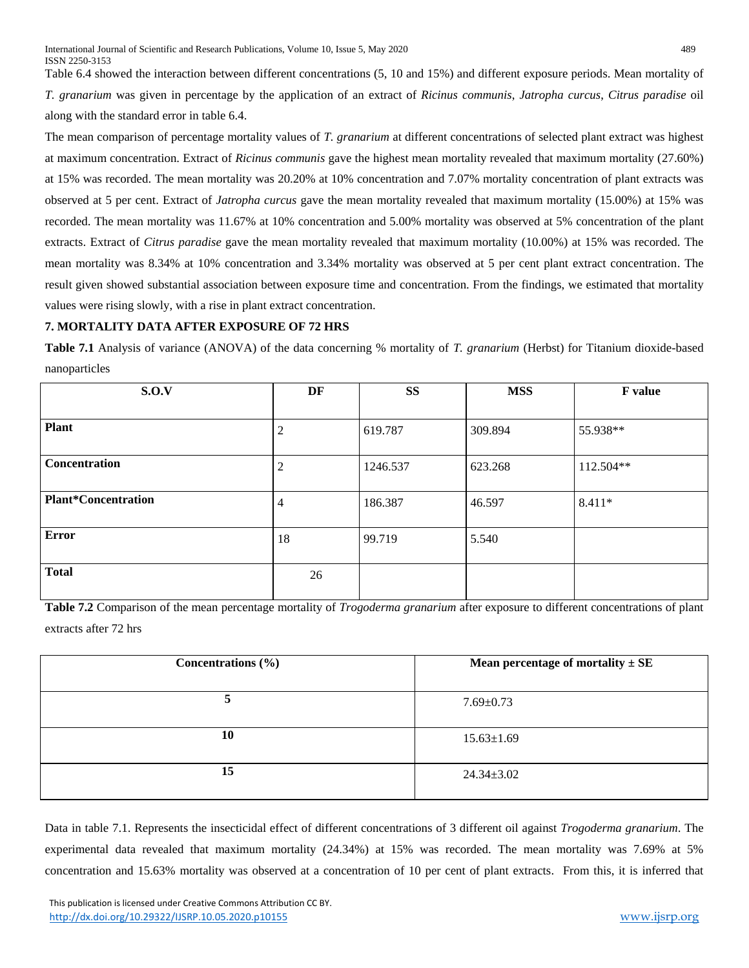Table 6.4 showed the interaction between different concentrations (5, 10 and 15%) and different exposure periods. Mean mortality of *T. granarium* was given in percentage by the application of an extract of *Ricinus communis*, *Jatropha curcus*, *Citrus paradise* oil along with the standard error in table 6.4.

The mean comparison of percentage mortality values of *T. granarium* at different concentrations of selected plant extract was highest at maximum concentration. Extract of *Ricinus communis* gave the highest mean mortality revealed that maximum mortality (27.60%) at 15% was recorded. The mean mortality was 20.20% at 10% concentration and 7.07% mortality concentration of plant extracts was observed at 5 per cent. Extract of *Jatropha curcus* gave the mean mortality revealed that maximum mortality (15.00%) at 15% was recorded. The mean mortality was 11.67% at 10% concentration and 5.00% mortality was observed at 5% concentration of the plant extracts. Extract of *Citrus paradise* gave the mean mortality revealed that maximum mortality (10.00%) at 15% was recorded. The mean mortality was 8.34% at 10% concentration and 3.34% mortality was observed at 5 per cent plant extract concentration. The result given showed substantial association between exposure time and concentration. From the findings, we estimated that mortality values were rising slowly, with a rise in plant extract concentration.

## **7. MORTALITY DATA AFTER EXPOSURE OF 72 HRS**

**Table 7.1** Analysis of variance (ANOVA) of the data concerning % mortality of *T. granarium* (Herbst) for Titanium dioxide-based nanoparticles

| S.O.V                      | DF     | <b>SS</b> | <b>MSS</b> | <b>F</b> value |
|----------------------------|--------|-----------|------------|----------------|
| <b>Plant</b>               | ↑<br>∠ | 619.787   | 309.894    | 55.938**       |
| Concentration              | ◠<br>∠ | 1246.537  | 623.268    | 112.504**      |
| <b>Plant*Concentration</b> | 4      | 186.387   | 46.597     | $8.411*$       |
| <b>Error</b>               | 18     | 99.719    | 5.540      |                |
| <b>Total</b>               | 26     |           |            |                |

**Table 7.2** Comparison of the mean percentage mortality of *Trogoderma granarium* after exposure to different concentrations of plant extracts after 72 hrs

| Concentrations $(\% )$ | <b>Mean percentage of mortality <math>\pm</math> SE</b> |
|------------------------|---------------------------------------------------------|
| 5                      | $7.69 \pm 0.73$                                         |
| 10                     | $15.63 \pm 1.69$                                        |
| 15                     | $24.34 \pm 3.02$                                        |

Data in table 7.1. Represents the insecticidal effect of different concentrations of 3 different oil against *Trogoderma granarium*. The experimental data revealed that maximum mortality (24.34%) at 15% was recorded. The mean mortality was 7.69% at 5% concentration and 15.63% mortality was observed at a concentration of 10 per cent of plant extracts. From this, it is inferred that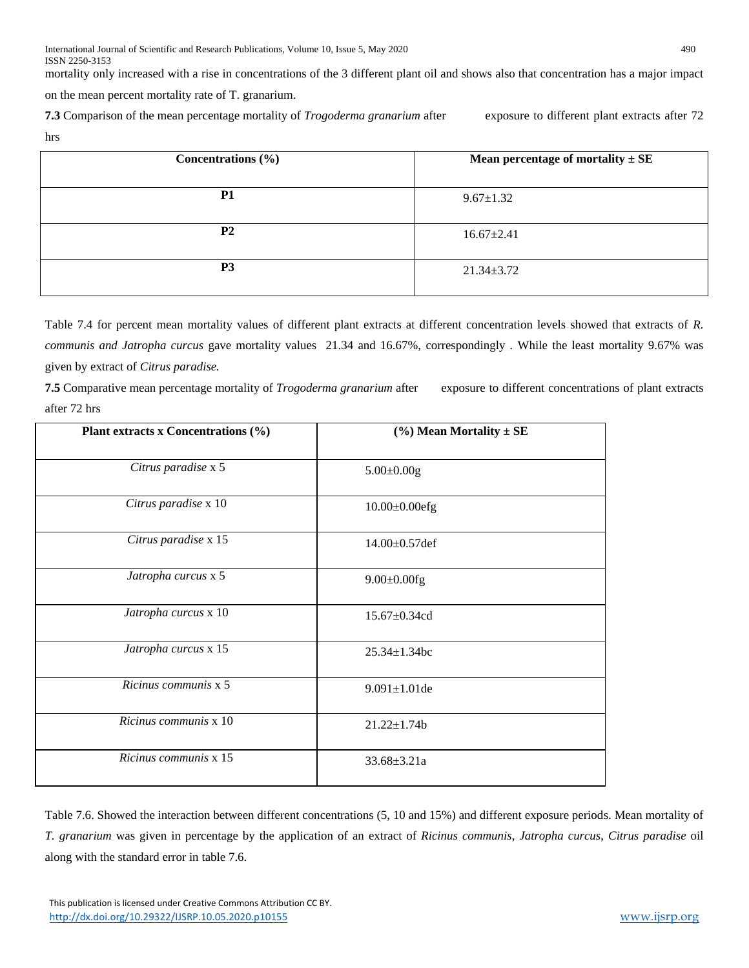mortality only increased with a rise in concentrations of the 3 different plant oil and shows also that concentration has a major impact on the mean percent mortality rate of T. granarium.

**7.3** Comparison of the mean percentage mortality of *Trogoderma granarium* after exposure to different plant extracts after 72 hrs

| Concentrations $(\% )$ | Mean percentage of mortality $\pm$ SE |
|------------------------|---------------------------------------|
| <b>P1</b>              | $9.67 \pm 1.32$                       |
| <b>P2</b>              | $16.67 \pm 2.41$                      |
| P <sub>3</sub>         | $21.34 \pm 3.72$                      |

Table 7.4 for percent mean mortality values of different plant extracts at different concentration levels showed that extracts of *R. communis and Jatropha curcus* gave mortality values 21.34 and 16.67%, correspondingly *.* While the least mortality 9.67% was given by extract of *Citrus paradise.* 

**7.5** Comparative mean percentage mortality of *Trogoderma granarium* after exposure to different concentrations of plant extracts after 72 hrs

| Plant extracts x Concentrations (%) | $(\%)$ Mean Mortality $\pm$ SE |
|-------------------------------------|--------------------------------|
| Citrus paradise x 5                 | $5.00 \pm 0.00$ g              |
| Citrus paradise x 10                | $10.00 \pm 0.00$ efg           |
| Citrus paradise x 15                | $14.00 \pm 0.57$ def           |
| Jatropha curcus x 5                 | $9.00 \pm 0.00$ fg             |
| Jatropha curcus x 10                | 15.67±0.34cd                   |
| Jatropha curcus x 15                | $25.34 \pm 1.34$ bc            |
| Ricinus communis x 5                | $9.091 \pm 1.01$ de            |
| Ricinus communis x 10               | $21.22 \pm 1.74b$              |
| Ricinus communis x 15               | $33.68 \pm 3.21a$              |

Table 7.6. Showed the interaction between different concentrations (5, 10 and 15%) and different exposure periods. Mean mortality of *T. granarium* was given in percentage by the application of an extract of *Ricinus communis*, *Jatropha curcus*, *Citrus paradise* oil along with the standard error in table 7.6.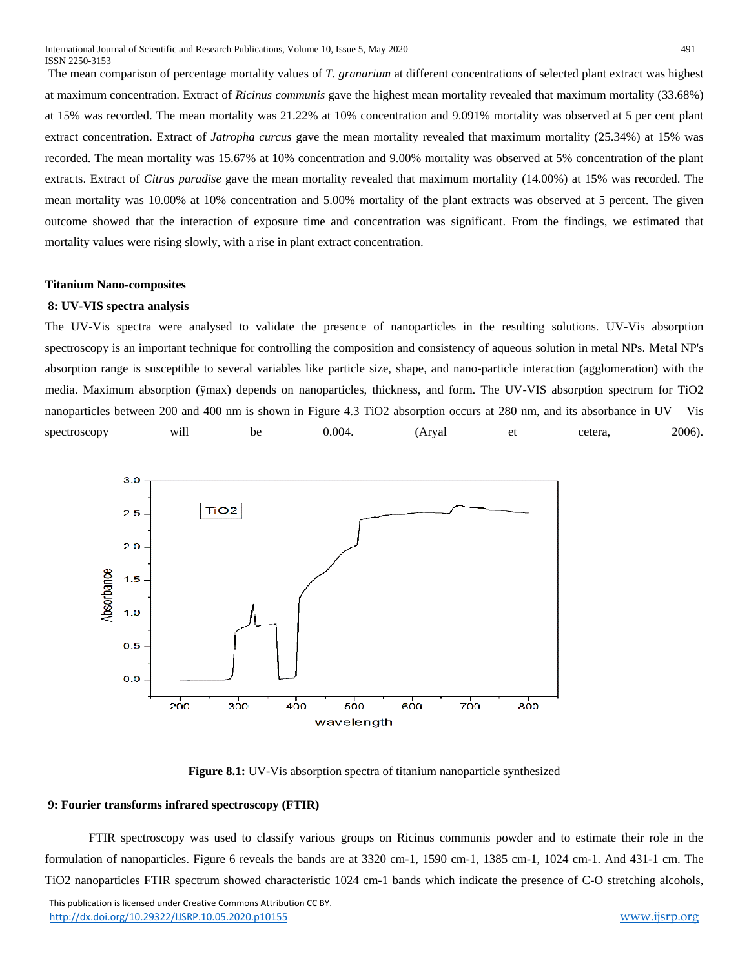The mean comparison of percentage mortality values of *T. granarium* at different concentrations of selected plant extract was highest at maximum concentration. Extract of *Ricinus communis* gave the highest mean mortality revealed that maximum mortality (33.68%) at 15% was recorded. The mean mortality was 21.22% at 10% concentration and 9.091% mortality was observed at 5 per cent plant extract concentration. Extract of *Jatropha curcus* gave the mean mortality revealed that maximum mortality (25.34%) at 15% was recorded. The mean mortality was 15.67% at 10% concentration and 9.00% mortality was observed at 5% concentration of the plant extracts. Extract of *Citrus paradise* gave the mean mortality revealed that maximum mortality (14.00%) at 15% was recorded. The mean mortality was 10.00% at 10% concentration and 5.00% mortality of the plant extracts was observed at 5 percent. The given outcome showed that the interaction of exposure time and concentration was significant. From the findings, we estimated that mortality values were rising slowly, with a rise in plant extract concentration.

#### **Titanium Nano-composites**

#### **8: UV-VIS spectra analysis**

The UV-Vis spectra were analysed to validate the presence of nanoparticles in the resulting solutions. UV-Vis absorption spectroscopy is an important technique for controlling the composition and consistency of aqueous solution in metal NPs. Metal NP's absorption range is susceptible to several variables like particle size, shape, and nano-particle interaction (agglomeration) with the media. Maximum absorption (ÿmax) depends on nanoparticles, thickness, and form. The UV-VIS absorption spectrum for TiO2 nanoparticles between 200 and 400 nm is shown in Figure 4.3 TiO2 absorption occurs at 280 nm, and its absorbance in UV – Vis spectroscopy will be 0.004. (Aryal et cetera, 2006).



**Figure 8.1:** UV-Vis absorption spectra of titanium nanoparticle synthesized

## **9: Fourier transforms infrared spectroscopy (FTIR)**

FTIR spectroscopy was used to classify various groups on Ricinus communis powder and to estimate their role in the formulation of nanoparticles. Figure 6 reveals the bands are at 3320 cm-1, 1590 cm-1, 1385 cm-1, 1024 cm-1. And 431-1 cm. The TiO2 nanoparticles FTIR spectrum showed characteristic 1024 cm-1 bands which indicate the presence of C-O stretching alcohols,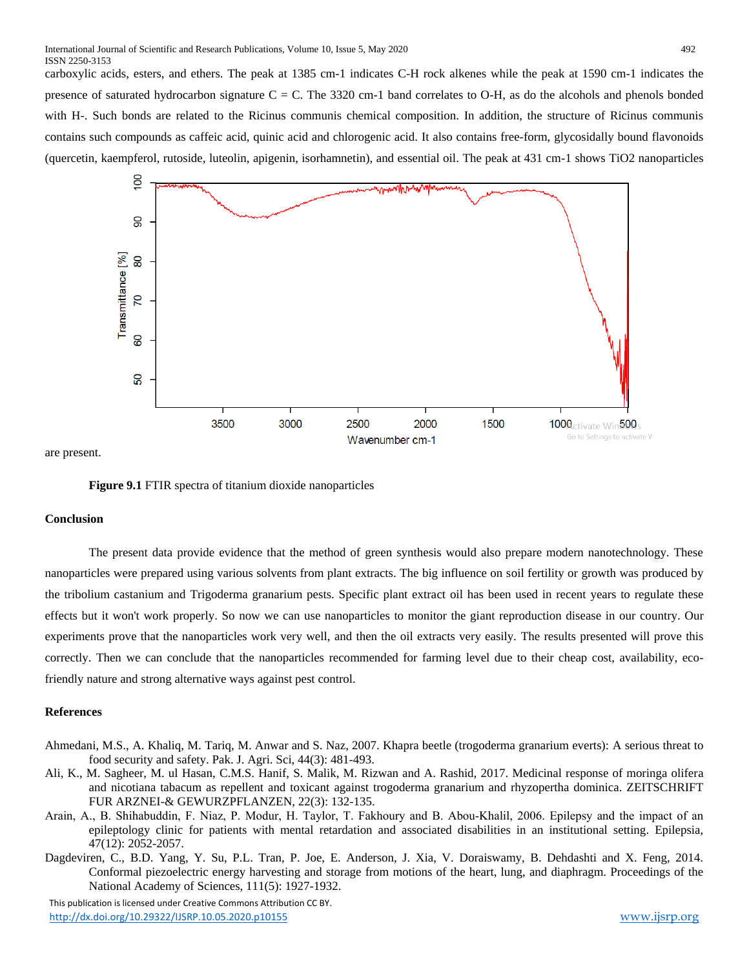carboxylic acids, esters, and ethers. The peak at 1385 cm-1 indicates C-H rock alkenes while the peak at 1590 cm-1 indicates the presence of saturated hydrocarbon signature  $C = C$ . The 3320 cm-1 band correlates to O-H, as do the alcohols and phenols bonded with H-. Such bonds are related to the Ricinus communis chemical composition. In addition, the structure of Ricinus communis contains such compounds as caffeic acid, quinic acid and chlorogenic acid. It also contains free-form, glycosidally bound flavonoids (quercetin, kaempferol, rutoside, luteolin, apigenin, isorhamnetin), and essential oil. The peak at 431 cm-1 shows TiO2 nanoparticles



are present.

**Figure 9.1** FTIR spectra of titanium dioxide nanoparticles

#### **Conclusion**

The present data provide evidence that the method of green synthesis would also prepare modern nanotechnology. These nanoparticles were prepared using various solvents from plant extracts. The big influence on soil fertility or growth was produced by the tribolium castanium and Trigoderma granarium pests. Specific plant extract oil has been used in recent years to regulate these effects but it won't work properly. So now we can use nanoparticles to monitor the giant reproduction disease in our country. Our experiments prove that the nanoparticles work very well, and then the oil extracts very easily. The results presented will prove this correctly. Then we can conclude that the nanoparticles recommended for farming level due to their cheap cost, availability, ecofriendly nature and strong alternative ways against pest control.

## **References**

- Ahmedani, M.S., A. Khaliq, M. Tariq, M. Anwar and S. Naz, 2007. Khapra beetle (trogoderma granarium everts): A serious threat to food security and safety. Pak. J. Agri. Sci, 44(3): 481-493.
- Ali, K., M. Sagheer, M. ul Hasan, C.M.S. Hanif, S. Malik, M. Rizwan and A. Rashid, 2017. Medicinal response of moringa olifera and nicotiana tabacum as repellent and toxicant against trogoderma granarium and rhyzopertha dominica. ZEITSCHRIFT FUR ARZNEI-& GEWURZPFLANZEN, 22(3): 132-135.
- Arain, A., B. Shihabuddin, F. Niaz, P. Modur, H. Taylor, T. Fakhoury and B. Abou‐Khalil, 2006. Epilepsy and the impact of an epileptology clinic for patients with mental retardation and associated disabilities in an institutional setting. Epilepsia, 47(12): 2052-2057.
- Dagdeviren, C., B.D. Yang, Y. Su, P.L. Tran, P. Joe, E. Anderson, J. Xia, V. Doraiswamy, B. Dehdashti and X. Feng, 2014. Conformal piezoelectric energy harvesting and storage from motions of the heart, lung, and diaphragm. Proceedings of the National Academy of Sciences, 111(5): 1927-1932.

 This publication is licensed under Creative Commons Attribution CC BY. <http://dx.doi.org/10.29322/IJSRP.10.05.2020.p10155> [www.ijsrp.org](http://ijsrp.org/)